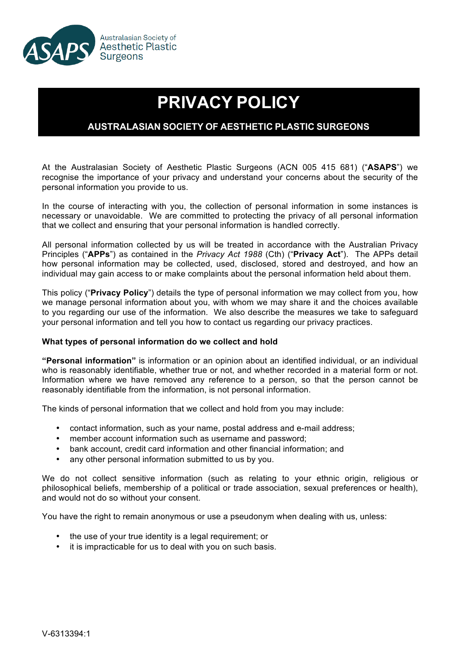

# **PRIVACY POLICY**

# **AUSTRALASIAN SOCIETY OF AESTHETIC PLASTIC SURGEONS**

At the Australasian Society of Aesthetic Plastic Surgeons (ACN 005 415 681) ("**ASAPS**") we recognise the importance of your privacy and understand your concerns about the security of the personal information you provide to us.

In the course of interacting with you, the collection of personal information in some instances is necessary or unavoidable. We are committed to protecting the privacy of all personal information that we collect and ensuring that your personal information is handled correctly.

All personal information collected by us will be treated in accordance with the Australian Privacy Principles ("**APPs**") as contained in the *Privacy Act 1988* (Cth) ("**Privacy Act**"). The APPs detail how personal information may be collected, used, disclosed, stored and destroyed, and how an individual may gain access to or make complaints about the personal information held about them.

This policy ("**Privacy Policy**") details the type of personal information we may collect from you, how we manage personal information about you, with whom we may share it and the choices available to you regarding our use of the information. We also describe the measures we take to safeguard your personal information and tell you how to contact us regarding our privacy practices.

# **What types of personal information do we collect and hold**

**"Personal information"** is information or an opinion about an identified individual, or an individual who is reasonably identifiable, whether true or not, and whether recorded in a material form or not. Information where we have removed any reference to a person, so that the person cannot be reasonably identifiable from the information, is not personal information.

The kinds of personal information that we collect and hold from you may include:

- contact information, such as your name, postal address and e-mail address;
- member account information such as username and password;
- bank account, credit card information and other financial information; and
- any other personal information submitted to us by you.

We do not collect sensitive information (such as relating to your ethnic origin, religious or philosophical beliefs, membership of a political or trade association, sexual preferences or health), and would not do so without your consent.

You have the right to remain anonymous or use a pseudonym when dealing with us, unless:

- the use of your true identity is a legal requirement; or
- it is impracticable for us to deal with you on such basis.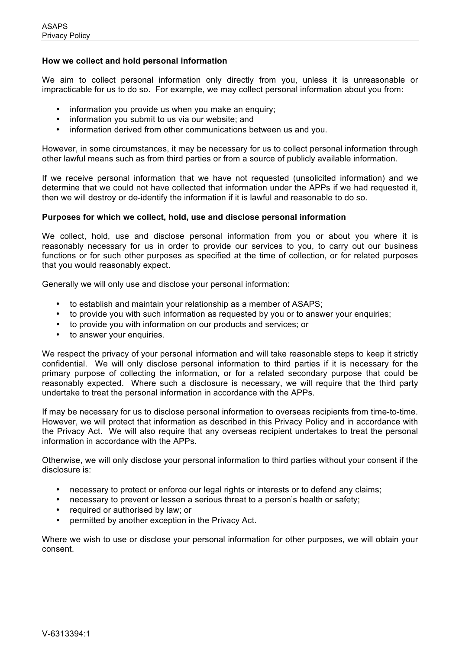## **How we collect and hold personal information**

We aim to collect personal information only directly from you, unless it is unreasonable or impracticable for us to do so. For example, we may collect personal information about you from:

- information you provide us when you make an enquiry;
- information you submit to us via our website; and
- information derived from other communications between us and you.

However, in some circumstances, it may be necessary for us to collect personal information through other lawful means such as from third parties or from a source of publicly available information.

If we receive personal information that we have not requested (unsolicited information) and we determine that we could not have collected that information under the APPs if we had requested it, then we will destroy or de-identify the information if it is lawful and reasonable to do so.

### **Purposes for which we collect, hold, use and disclose personal information**

We collect, hold, use and disclose personal information from you or about you where it is reasonably necessary for us in order to provide our services to you, to carry out our business functions or for such other purposes as specified at the time of collection, or for related purposes that you would reasonably expect.

Generally we will only use and disclose your personal information:

- to establish and maintain your relationship as a member of ASAPS;
- to provide you with such information as requested by you or to answer your enquiries;
- to provide you with information on our products and services; or
- to answer your enquiries.

We respect the privacy of your personal information and will take reasonable steps to keep it strictly confidential. We will only disclose personal information to third parties if it is necessary for the primary purpose of collecting the information, or for a related secondary purpose that could be reasonably expected. Where such a disclosure is necessary, we will require that the third party undertake to treat the personal information in accordance with the APPs.

If may be necessary for us to disclose personal information to overseas recipients from time-to-time. However, we will protect that information as described in this Privacy Policy and in accordance with the Privacy Act. We will also require that any overseas recipient undertakes to treat the personal information in accordance with the APPs.

Otherwise, we will only disclose your personal information to third parties without your consent if the disclosure is:

- necessary to protect or enforce our legal rights or interests or to defend any claims;
- necessary to prevent or lessen a serious threat to a person's health or safety;
- required or authorised by law; or
- permitted by another exception in the Privacy Act.

Where we wish to use or disclose your personal information for other purposes, we will obtain your consent.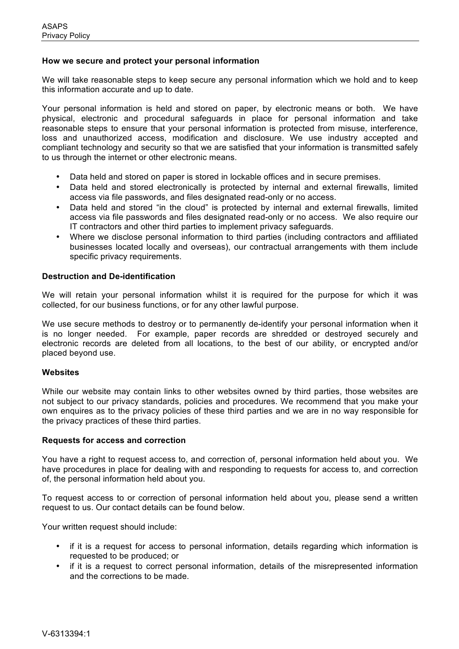## **How we secure and protect your personal information**

We will take reasonable steps to keep secure any personal information which we hold and to keep this information accurate and up to date.

Your personal information is held and stored on paper, by electronic means or both. We have physical, electronic and procedural safeguards in place for personal information and take reasonable steps to ensure that your personal information is protected from misuse, interference, loss and unauthorized access, modification and disclosure. We use industry accepted and compliant technology and security so that we are satisfied that your information is transmitted safely to us through the internet or other electronic means.

- Data held and stored on paper is stored in lockable offices and in secure premises.
- Data held and stored electronically is protected by internal and external firewalls, limited access via file passwords, and files designated read-only or no access.
- Data held and stored "in the cloud" is protected by internal and external firewalls, limited access via file passwords and files designated read-only or no access. We also require our IT contractors and other third parties to implement privacy safeguards.
- Where we disclose personal information to third parties (including contractors and affiliated businesses located locally and overseas), our contractual arrangements with them include specific privacy requirements.

### **Destruction and De-identification**

We will retain your personal information whilst it is required for the purpose for which it was collected, for our business functions, or for any other lawful purpose.

We use secure methods to destroy or to permanently de-identify your personal information when it is no longer needed. For example, paper records are shredded or destroyed securely and electronic records are deleted from all locations, to the best of our ability, or encrypted and/or placed beyond use.

#### **Websites**

While our website may contain links to other websites owned by third parties, those websites are not subject to our privacy standards, policies and procedures. We recommend that you make your own enquires as to the privacy policies of these third parties and we are in no way responsible for the privacy practices of these third parties.

#### **Requests for access and correction**

You have a right to request access to, and correction of, personal information held about you. We have procedures in place for dealing with and responding to requests for access to, and correction of, the personal information held about you.

To request access to or correction of personal information held about you, please send a written request to us. Our contact details can be found below.

Your written request should include:

- if it is a request for access to personal information, details regarding which information is requested to be produced; or
- if it is a request to correct personal information, details of the misrepresented information and the corrections to be made.